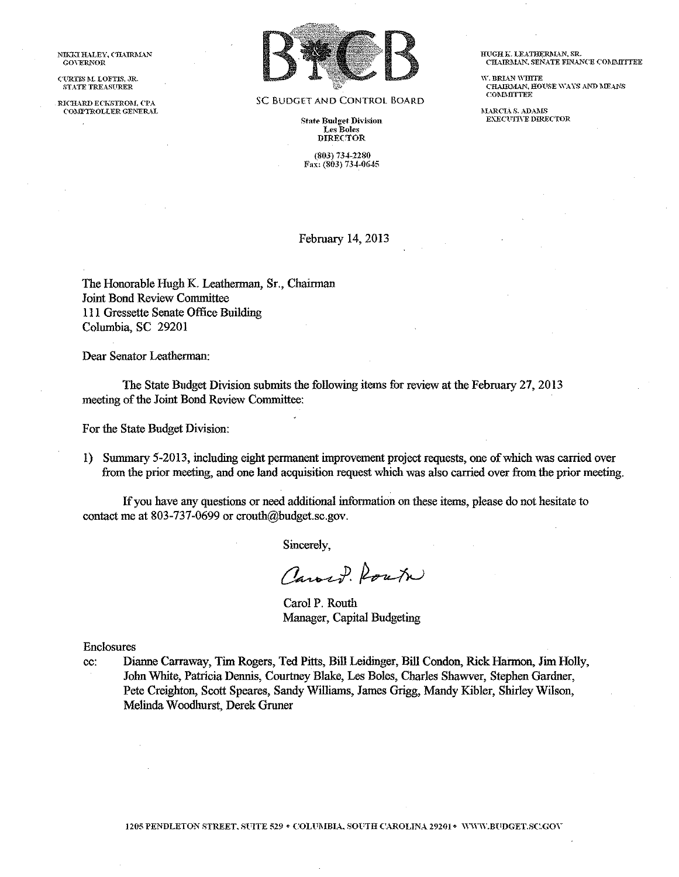NIKKI HALEY, CHAIRMAN GO\"ERNOR

CURTIS M. LOFTIS, JR. STATE TREASURER

RICHARD ECKSTROM, CPA COMPTROLLER GENERAL



SC BUDGET AND CONTROl BOARD

**State Budget Division** Les Boles DIRECTOR

(803) 734-2280 Fax: (803) 734-0645 HUGH K. LEATHERMAN, SR. CHAIRMAN, SENATE FINANCE COMMITTEE

W. BRIAN WHITE<br>CHAIRMAN, HOUSE WAYS AND MEANS COMMITTEE

**MARCIA S. ADAMS** EXECUTIVE DIRECTOR

February 14, 2013

The Honorable Hugh K. Leatherman, Sr., Chairman Joint Bond Review Committee Ill Gressette Senate Office Building Columbia, SC 29201

Dear Senator Leatherman:

The State Bndget Division submits the following items for review at the February 27, 2013 meeting of the Joint Bond Review Committee:

For the State Budget Division:

1) Summary 5-2013, including eight permanent improvement project requests, one of which was carried over from the prior meeting, and one land acquisition request which was also carried over from the prior meeting.

If you have any questions or need additional information on these items, please do not hesitate to contact me at 803-737-0699 or crouth@budget.sc.gov.

Sincerely,

Carry Route

Carol P. Routh Manager, Capital Budgeting

Enclosures

cc: Dianne Carraway, Tim Rogers, Ted Pitts, Bill Leidinger, Bill Condon, Rick Harmon, Jim Holly, John White, Patricia Dennis, Courtney Blake, Les Boles, Charles Shawver, Stephen Gardner, Pete Creighton, Scott Speares, Sandy Williams, James Grigg, Mandy Kibler, Shirley Wilson, Melinda Woodhurst, Derek Gruner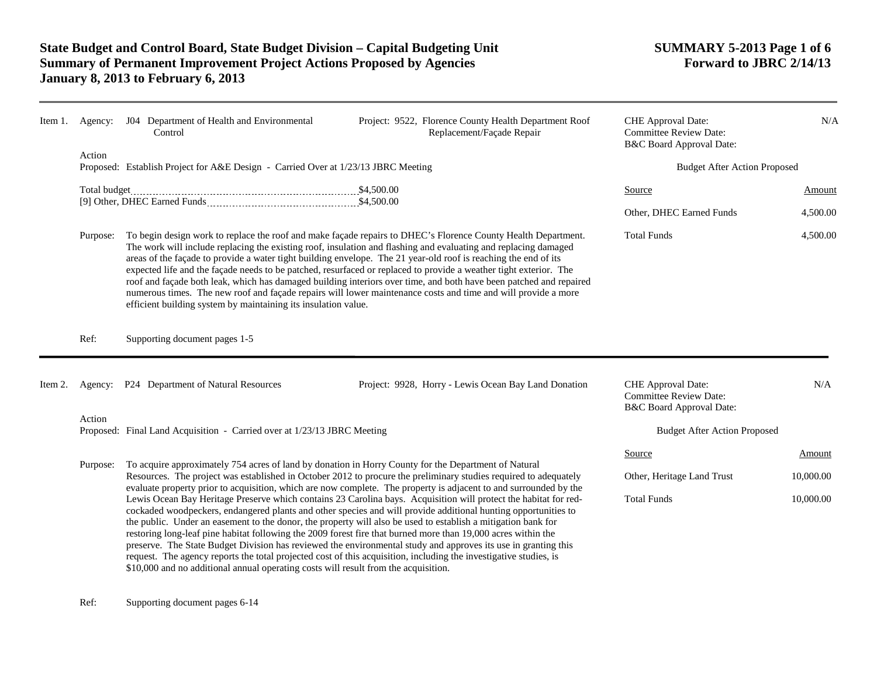| Item 1. | Agency:  | J04 Department of Health and Environmental<br>Control                                                                                                                                                                                                                                                                                                                                                                                                                                                                                                                                                                                                                                                                                                                             |  |                                     | Project: 9522, Florence County Health Department Roof<br>Replacement/Façade Repair                                                                                                                                                                                                                                                                                                                                                                                                                                                                                                         | CHE Approval Date:<br><b>Committee Review Date:</b><br>B&C Board Approval Date: | N/A       |
|---------|----------|-----------------------------------------------------------------------------------------------------------------------------------------------------------------------------------------------------------------------------------------------------------------------------------------------------------------------------------------------------------------------------------------------------------------------------------------------------------------------------------------------------------------------------------------------------------------------------------------------------------------------------------------------------------------------------------------------------------------------------------------------------------------------------------|--|-------------------------------------|--------------------------------------------------------------------------------------------------------------------------------------------------------------------------------------------------------------------------------------------------------------------------------------------------------------------------------------------------------------------------------------------------------------------------------------------------------------------------------------------------------------------------------------------------------------------------------------------|---------------------------------------------------------------------------------|-----------|
|         | Action   | Proposed: Establish Project for A&E Design - Carried Over at 1/23/13 JBRC Meeting                                                                                                                                                                                                                                                                                                                                                                                                                                                                                                                                                                                                                                                                                                 |  |                                     | <b>Budget After Action Proposed</b>                                                                                                                                                                                                                                                                                                                                                                                                                                                                                                                                                        |                                                                                 |           |
|         |          |                                                                                                                                                                                                                                                                                                                                                                                                                                                                                                                                                                                                                                                                                                                                                                                   |  |                                     |                                                                                                                                                                                                                                                                                                                                                                                                                                                                                                                                                                                            | Source                                                                          | Amount    |
|         |          |                                                                                                                                                                                                                                                                                                                                                                                                                                                                                                                                                                                                                                                                                                                                                                                   |  |                                     |                                                                                                                                                                                                                                                                                                                                                                                                                                                                                                                                                                                            | Other, DHEC Earned Funds                                                        | 4,500.00  |
|         | Purpose: | To begin design work to replace the roof and make façade repairs to DHEC's Florence County Health Department.<br>The work will include replacing the existing roof, insulation and flashing and evaluating and replacing damaged<br>areas of the façade to provide a water tight building envelope. The 21 year-old roof is reaching the end of its<br>expected life and the façade needs to be patched, resurfaced or replaced to provide a weather tight exterior. The<br>roof and façade both leak, which has damaged building interiors over time, and both have been patched and repaired<br>numerous times. The new roof and façade repairs will lower maintenance costs and time and will provide a more<br>efficient building system by maintaining its insulation value. |  |                                     | <b>Total Funds</b>                                                                                                                                                                                                                                                                                                                                                                                                                                                                                                                                                                         | 4,500.00                                                                        |           |
|         | Ref:     | Supporting document pages 1-5                                                                                                                                                                                                                                                                                                                                                                                                                                                                                                                                                                                                                                                                                                                                                     |  |                                     |                                                                                                                                                                                                                                                                                                                                                                                                                                                                                                                                                                                            |                                                                                 |           |
| Item 2. |          | Agency: P24 Department of Natural Resources                                                                                                                                                                                                                                                                                                                                                                                                                                                                                                                                                                                                                                                                                                                                       |  |                                     | Project: 9928, Horry - Lewis Ocean Bay Land Donation                                                                                                                                                                                                                                                                                                                                                                                                                                                                                                                                       | CHE Approval Date:<br><b>Committee Review Date:</b><br>B&C Board Approval Date: | N/A       |
|         | Action   | Proposed: Final Land Acquisition - Carried over at 1/23/13 JBRC Meeting                                                                                                                                                                                                                                                                                                                                                                                                                                                                                                                                                                                                                                                                                                           |  | <b>Budget After Action Proposed</b> |                                                                                                                                                                                                                                                                                                                                                                                                                                                                                                                                                                                            |                                                                                 |           |
|         | Purpose: |                                                                                                                                                                                                                                                                                                                                                                                                                                                                                                                                                                                                                                                                                                                                                                                   |  | Source                              | Amount                                                                                                                                                                                                                                                                                                                                                                                                                                                                                                                                                                                     |                                                                                 |           |
|         |          | To acquire approximately 754 acres of land by donation in Horry County for the Department of Natural<br>Resources. The project was established in October 2012 to procure the preliminary studies required to adequately<br>evaluate property prior to acquisition, which are now complete. The property is adjacent to and surrounded by the                                                                                                                                                                                                                                                                                                                                                                                                                                     |  |                                     | Other, Heritage Land Trust                                                                                                                                                                                                                                                                                                                                                                                                                                                                                                                                                                 | 10,000.00                                                                       |           |
|         |          | restoring long-leaf pine habitat following the 2009 forest fire that burned more than 19,000 acres within the<br>\$10,000 and no additional annual operating costs will result from the acquisition.                                                                                                                                                                                                                                                                                                                                                                                                                                                                                                                                                                              |  |                                     | Lewis Ocean Bay Heritage Preserve which contains 23 Carolina bays. Acquisition will protect the habitat for red-<br>cockaded woodpeckers, endangered plants and other species and will provide additional hunting opportunities to<br>the public. Under an easement to the donor, the property will also be used to establish a mitigation bank for<br>preserve. The State Budget Division has reviewed the environmental study and approves its use in granting this<br>request. The agency reports the total projected cost of this acquisition, including the investigative studies, is | <b>Total Funds</b>                                                              | 10,000.00 |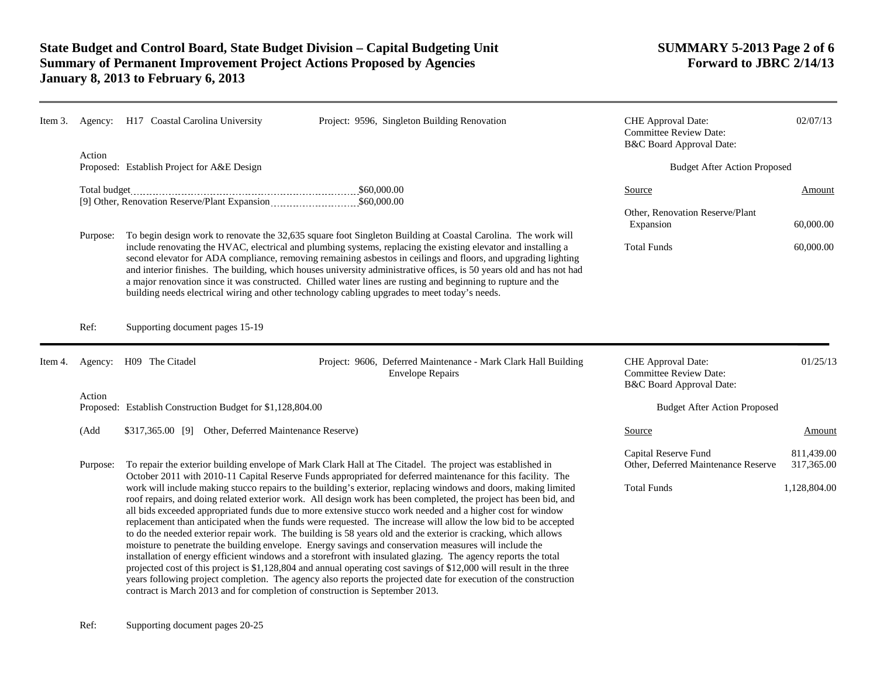|          | Item 3. Agency: H17 Coastal Carolina University                                                                                                                                                                            | Project: 9596, Singleton Building Renovation                                                                                                                                                                                                                                                                                                                                                                                                                                                                                                                                                                                                                                                                                                                                                                                                                                                                                                                                                                                                                                                                                                  | <b>CHE</b> Approval Date:<br><b>Committee Review Date:</b><br>B&C Board Approval Date: | 02/07/13                         |  |
|----------|----------------------------------------------------------------------------------------------------------------------------------------------------------------------------------------------------------------------------|-----------------------------------------------------------------------------------------------------------------------------------------------------------------------------------------------------------------------------------------------------------------------------------------------------------------------------------------------------------------------------------------------------------------------------------------------------------------------------------------------------------------------------------------------------------------------------------------------------------------------------------------------------------------------------------------------------------------------------------------------------------------------------------------------------------------------------------------------------------------------------------------------------------------------------------------------------------------------------------------------------------------------------------------------------------------------------------------------------------------------------------------------|----------------------------------------------------------------------------------------|----------------------------------|--|
| Action   | Proposed: Establish Project for A&E Design                                                                                                                                                                                 |                                                                                                                                                                                                                                                                                                                                                                                                                                                                                                                                                                                                                                                                                                                                                                                                                                                                                                                                                                                                                                                                                                                                               | <b>Budget After Action Proposed</b>                                                    |                                  |  |
| Purpose: |                                                                                                                                                                                                                            | To begin design work to renovate the 32,635 square foot Singleton Building at Coastal Carolina. The work will<br>include renovating the HVAC, electrical and plumbing systems, replacing the existing elevator and installing a<br>second elevator for ADA compliance, removing remaining asbestos in ceilings and floors, and upgrading lighting                                                                                                                                                                                                                                                                                                                                                                                                                                                                                                                                                                                                                                                                                                                                                                                             | <b>Source</b><br>Other, Renovation Reserve/Plant<br>Expansion<br><b>Total Funds</b>    | Amount<br>60,000.00<br>60,000.00 |  |
| Ref:     | Supporting document pages 15-19                                                                                                                                                                                            | and interior finishes. The building, which houses university administrative offices, is 50 years old and has not had<br>a major renovation since it was constructed. Chilled water lines are rusting and beginning to rupture and the<br>building needs electrical wiring and other technology cabling upgrades to meet today's needs.                                                                                                                                                                                                                                                                                                                                                                                                                                                                                                                                                                                                                                                                                                                                                                                                        |                                                                                        |                                  |  |
|          | Item 4. Agency: H09 The Citadel                                                                                                                                                                                            | Project: 9606, Deferred Maintenance - Mark Clark Hall Building<br><b>Envelope Repairs</b>                                                                                                                                                                                                                                                                                                                                                                                                                                                                                                                                                                                                                                                                                                                                                                                                                                                                                                                                                                                                                                                     | CHE Approval Date:<br><b>Committee Review Date:</b><br>B&C Board Approval Date:        | 01/25/13                         |  |
| Action   | Proposed: Establish Construction Budget for \$1,128,804.00                                                                                                                                                                 |                                                                                                                                                                                                                                                                                                                                                                                                                                                                                                                                                                                                                                                                                                                                                                                                                                                                                                                                                                                                                                                                                                                                               | <b>Budget After Action Proposed</b>                                                    |                                  |  |
| (Add     | \$317,365.00 [9] Other, Deferred Maintenance Reserve)                                                                                                                                                                      |                                                                                                                                                                                                                                                                                                                                                                                                                                                                                                                                                                                                                                                                                                                                                                                                                                                                                                                                                                                                                                                                                                                                               | Source                                                                                 | Amount                           |  |
| Purpose: | To repair the exterior building envelope of Mark Clark Hall at The Citadel. The project was established in<br>October 2011 with 2010-11 Capital Reserve Funds appropriated for deferred maintenance for this facility. The |                                                                                                                                                                                                                                                                                                                                                                                                                                                                                                                                                                                                                                                                                                                                                                                                                                                                                                                                                                                                                                                                                                                                               | Capital Reserve Fund<br>Other, Deferred Maintenance Reserve                            | 811,439.00<br>317,365.00         |  |
|          |                                                                                                                                                                                                                            | work will include making stucco repairs to the building's exterior, replacing windows and doors, making limited<br>roof repairs, and doing related exterior work. All design work has been completed, the project has been bid, and<br>all bids exceeded appropriated funds due to more extensive stucco work needed and a higher cost for window<br>replacement than anticipated when the funds were requested. The increase will allow the low bid to be accepted<br>to do the needed exterior repair work. The building is 58 years old and the exterior is cracking, which allows<br>moisture to penetrate the building envelope. Energy savings and conservation measures will include the<br>installation of energy efficient windows and a storefront with insulated glazing. The agency reports the total<br>projected cost of this project is \$1,128,804 and annual operating cost savings of \$12,000 will result in the three<br>years following project completion. The agency also reports the projected date for execution of the construction<br>contract is March 2013 and for completion of construction is September 2013. | <b>Total Funds</b>                                                                     | 1,128,804.00                     |  |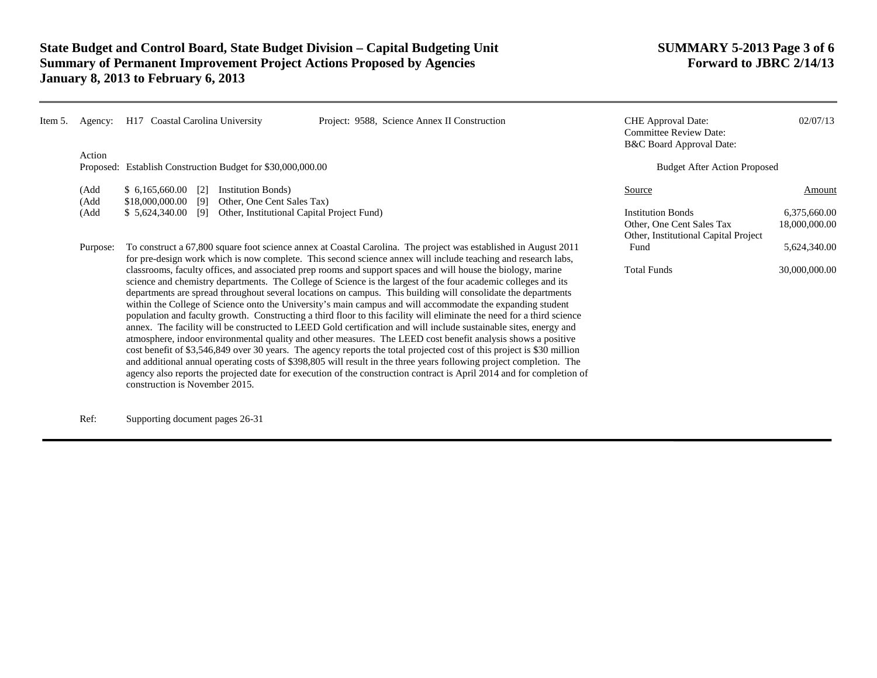| Item 5. | Agency:      | H17 Coastal Carolina University                                                                                                                                                                                                                                                                                                                                                                                                                                                                                                                                                                                                                                                                                                                                                                                                                                                                                                                                                                                                                                                                                                                                                                                                          | Project: 9588, Science Annex II Construction                                                  | <b>CHE</b> Approval Date:<br><b>Committee Review Date:</b><br>B&C Board Approval Date: | 02/07/13 |
|---------|--------------|------------------------------------------------------------------------------------------------------------------------------------------------------------------------------------------------------------------------------------------------------------------------------------------------------------------------------------------------------------------------------------------------------------------------------------------------------------------------------------------------------------------------------------------------------------------------------------------------------------------------------------------------------------------------------------------------------------------------------------------------------------------------------------------------------------------------------------------------------------------------------------------------------------------------------------------------------------------------------------------------------------------------------------------------------------------------------------------------------------------------------------------------------------------------------------------------------------------------------------------|-----------------------------------------------------------------------------------------------|----------------------------------------------------------------------------------------|----------|
|         | Action       |                                                                                                                                                                                                                                                                                                                                                                                                                                                                                                                                                                                                                                                                                                                                                                                                                                                                                                                                                                                                                                                                                                                                                                                                                                          |                                                                                               |                                                                                        |          |
|         |              | Proposed: Establish Construction Budget for \$30,000,000.00                                                                                                                                                                                                                                                                                                                                                                                                                                                                                                                                                                                                                                                                                                                                                                                                                                                                                                                                                                                                                                                                                                                                                                              |                                                                                               | <b>Budget After Action Proposed</b>                                                    |          |
|         | (Add<br>(Add | \$6,165,660.00<br><b>Institution Bonds</b> )<br>[2]<br>\$18,000,000.00<br>Other, One Cent Sales Tax)<br>[9]                                                                                                                                                                                                                                                                                                                                                                                                                                                                                                                                                                                                                                                                                                                                                                                                                                                                                                                                                                                                                                                                                                                              |                                                                                               | Source                                                                                 | Amount   |
|         | (Add         | Other, Institutional Capital Project Fund)<br>\$5,624,340.00<br>[9]                                                                                                                                                                                                                                                                                                                                                                                                                                                                                                                                                                                                                                                                                                                                                                                                                                                                                                                                                                                                                                                                                                                                                                      | <b>Institution Bonds</b><br>Other, One Cent Sales Tax<br>Other, Institutional Capital Project | 6,375,660.00<br>18,000,000.00                                                          |          |
|         | Purpose:     | To construct a 67,800 square foot science annex at Coastal Carolina. The project was established in August 2011<br>for pre-design work which is now complete. This second science annex will include teaching and research labs,                                                                                                                                                                                                                                                                                                                                                                                                                                                                                                                                                                                                                                                                                                                                                                                                                                                                                                                                                                                                         | Fund                                                                                          | 5,624,340.00                                                                           |          |
|         |              | classrooms, faculty offices, and associated prep rooms and support spaces and will house the biology, marine<br>science and chemistry departments. The College of Science is the largest of the four academic colleges and its<br>departments are spread throughout several locations on campus. This building will consolidate the departments<br>within the College of Science onto the University's main campus and will accommodate the expanding student<br>population and faculty growth. Constructing a third floor to this facility will eliminate the need for a third science<br>annex. The facility will be constructed to LEED Gold certification and will include sustainable sites, energy and<br>atmosphere, indoor environmental quality and other measures. The LEED cost benefit analysis shows a positive<br>cost benefit of \$3,546,849 over 30 years. The agency reports the total projected cost of this project is \$30 million<br>and additional annual operating costs of \$398,805 will result in the three years following project completion. The<br>agency also reports the projected date for execution of the construction contract is April 2014 and for completion of<br>construction is November 2015. | <b>Total Funds</b>                                                                            | 30,000,000.00                                                                          |          |

Ref: Supporting document pages 26-31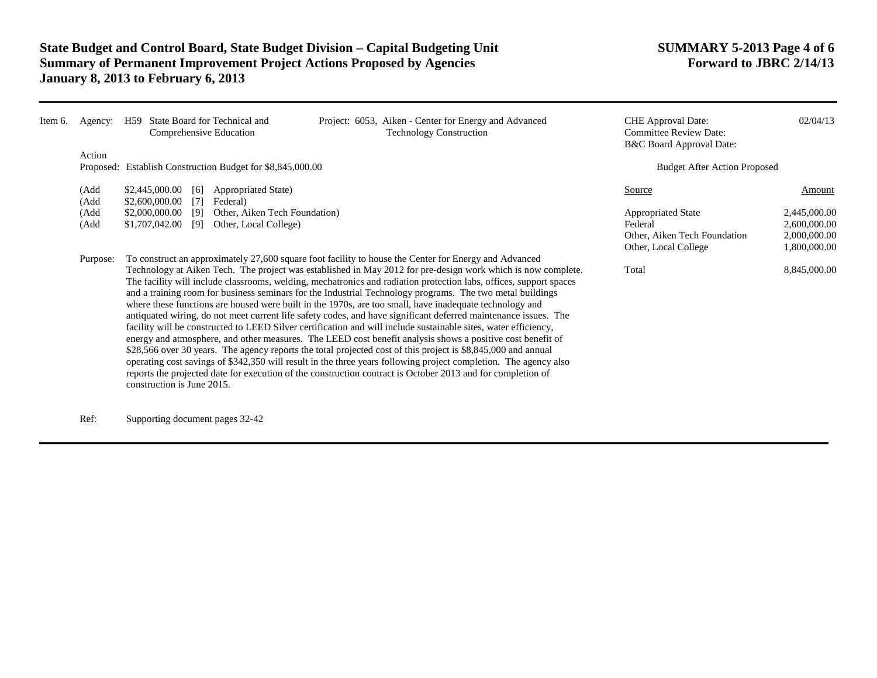| Item 6. | Agency:      | State Board for Technical and<br>Project: 6053, Aiken - Center for Energy and Advanced<br>H59<br><b>Technology Construction</b><br>Comprehensive Education                                                                                                                                                                                                                                                                                                                                                                                                                                                                                                                                                                                                                                                                                                                                                                                                                                                                                                                                                                                                                                                                                                                                                | <b>CHE</b> Approval Date:<br><b>Committee Review Date:</b><br>B&C Board Approval Date:       | 02/04/13                                                     |
|---------|--------------|-----------------------------------------------------------------------------------------------------------------------------------------------------------------------------------------------------------------------------------------------------------------------------------------------------------------------------------------------------------------------------------------------------------------------------------------------------------------------------------------------------------------------------------------------------------------------------------------------------------------------------------------------------------------------------------------------------------------------------------------------------------------------------------------------------------------------------------------------------------------------------------------------------------------------------------------------------------------------------------------------------------------------------------------------------------------------------------------------------------------------------------------------------------------------------------------------------------------------------------------------------------------------------------------------------------|----------------------------------------------------------------------------------------------|--------------------------------------------------------------|
|         | Action       | Proposed: Establish Construction Budget for \$8,845,000.00                                                                                                                                                                                                                                                                                                                                                                                                                                                                                                                                                                                                                                                                                                                                                                                                                                                                                                                                                                                                                                                                                                                                                                                                                                                | <b>Budget After Action Proposed</b>                                                          |                                                              |
|         | (Add<br>(Add | \$2,445,000.00<br>[6]<br>Appropriated State)<br>\$2,600,000.00<br>$\lceil 7 \rceil$<br>Federal)                                                                                                                                                                                                                                                                                                                                                                                                                                                                                                                                                                                                                                                                                                                                                                                                                                                                                                                                                                                                                                                                                                                                                                                                           | Source                                                                                       | Amount                                                       |
|         | (Add<br>(Add | \$2,000,000.00<br>Other, Aiken Tech Foundation)<br>- 191<br>\$1,707,042.00<br>Other, Local College)<br>[9]                                                                                                                                                                                                                                                                                                                                                                                                                                                                                                                                                                                                                                                                                                                                                                                                                                                                                                                                                                                                                                                                                                                                                                                                | <b>Appropriated State</b><br>Federal<br>Other, Aiken Tech Foundation<br>Other, Local College | 2,445,000.00<br>2,600,000.00<br>2,000,000.00<br>1,800,000.00 |
|         | Purpose:     | To construct an approximately 27,600 square foot facility to house the Center for Energy and Advanced<br>Technology at Aiken Tech. The project was established in May 2012 for pre-design work which is now complete.<br>The facility will include classrooms, welding, mechatronics and radiation protection labs, offices, support spaces<br>and a training room for business seminars for the Industrial Technology programs. The two metal buildings<br>where these functions are housed were built in the 1970s, are too small, have inadequate technology and<br>antiquated wiring, do not meet current life safety codes, and have significant deferred maintenance issues. The<br>facility will be constructed to LEED Silver certification and will include sustainable sites, water efficiency,<br>energy and atmosphere, and other measures. The LEED cost benefit analysis shows a positive cost benefit of<br>\$28,566 over 30 years. The agency reports the total projected cost of this project is \$8,845,000 and annual<br>operating cost savings of \$342,350 will result in the three years following project completion. The agency also<br>reports the projected date for execution of the construction contract is October 2013 and for completion of<br>construction is June 2015. | Total                                                                                        | 8,845,000.00                                                 |

Ref: Supporting document pages 32-42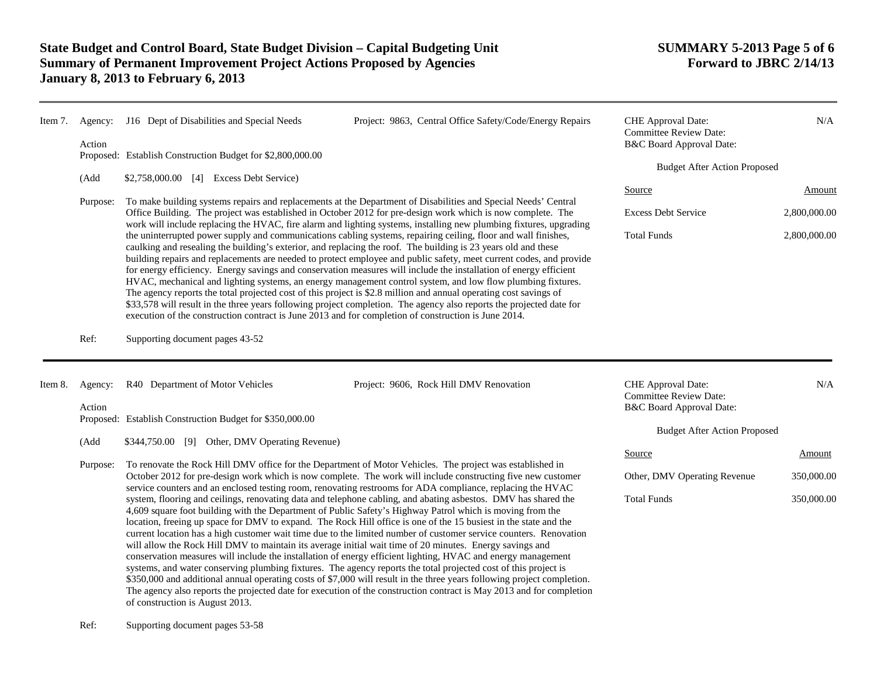| Item 7. | Agency:<br>Action | J16 Dept of Disabilities and Special Needs<br>Project: 9863, Central Office Safety/Code/Energy Repairs<br>Proposed: Establish Construction Budget for \$2,800,000.00<br>\$2,758,000.00 [4] Excess Debt Service)                                                                                                                                                                                                                                                                                                                                                                                                                                                                                                                                                                                                                                                                                                                                                                                                                                                        |                                     | CHE Approval Date:<br><b>Committee Review Date:</b><br>B&C Board Approval Date:<br><b>Budget After Action Proposed</b> | N/A          |  |
|---------|-------------------|------------------------------------------------------------------------------------------------------------------------------------------------------------------------------------------------------------------------------------------------------------------------------------------------------------------------------------------------------------------------------------------------------------------------------------------------------------------------------------------------------------------------------------------------------------------------------------------------------------------------------------------------------------------------------------------------------------------------------------------------------------------------------------------------------------------------------------------------------------------------------------------------------------------------------------------------------------------------------------------------------------------------------------------------------------------------|-------------------------------------|------------------------------------------------------------------------------------------------------------------------|--------------|--|
|         | (Add              |                                                                                                                                                                                                                                                                                                                                                                                                                                                                                                                                                                                                                                                                                                                                                                                                                                                                                                                                                                                                                                                                        |                                     |                                                                                                                        |              |  |
|         | Purpose:          | To make building systems repairs and replacements at the Department of Disabilities and Special Needs' Central                                                                                                                                                                                                                                                                                                                                                                                                                                                                                                                                                                                                                                                                                                                                                                                                                                                                                                                                                         | Source                              | Amount                                                                                                                 |              |  |
|         |                   | Office Building. The project was established in October 2012 for pre-design work which is now complete. The<br>work will include replacing the HVAC, fire alarm and lighting systems, installing new plumbing fixtures, upgrading                                                                                                                                                                                                                                                                                                                                                                                                                                                                                                                                                                                                                                                                                                                                                                                                                                      | <b>Excess Debt Service</b>          | 2,800,000.00                                                                                                           |              |  |
|         |                   | the uninterrupted power supply and communications cabling systems, repairing ceiling, floor and wall finishes,<br>caulking and resealing the building's exterior, and replacing the roof. The building is 23 years old and these<br>building repairs and replacements are needed to protect employee and public safety, meet current codes, and provide<br>for energy efficiency. Energy savings and conservation measures will include the installation of energy efficient<br>HVAC, mechanical and lighting systems, an energy management control system, and low flow plumbing fixtures.<br>The agency reports the total projected cost of this project is \$2.8 million and annual operating cost savings of<br>\$33,578 will result in the three years following project completion. The agency also reports the projected date for<br>execution of the construction contract is June 2013 and for completion of construction is June 2014.                                                                                                                       |                                     | <b>Total Funds</b>                                                                                                     | 2,800,000.00 |  |
|         | Ref:              | Supporting document pages 43-52                                                                                                                                                                                                                                                                                                                                                                                                                                                                                                                                                                                                                                                                                                                                                                                                                                                                                                                                                                                                                                        |                                     |                                                                                                                        |              |  |
| Item 8. | Agency:<br>Action | R40 Department of Motor Vehicles<br>Project: 9606, Rock Hill DMV Renovation                                                                                                                                                                                                                                                                                                                                                                                                                                                                                                                                                                                                                                                                                                                                                                                                                                                                                                                                                                                            |                                     | CHE Approval Date:<br><b>Committee Review Date:</b><br>B&C Board Approval Date:                                        | N/A          |  |
|         |                   | Proposed: Establish Construction Budget for \$350,000.00                                                                                                                                                                                                                                                                                                                                                                                                                                                                                                                                                                                                                                                                                                                                                                                                                                                                                                                                                                                                               | <b>Budget After Action Proposed</b> |                                                                                                                        |              |  |
|         | (Add              | \$344,750.00 [9] Other, DMV Operating Revenue)                                                                                                                                                                                                                                                                                                                                                                                                                                                                                                                                                                                                                                                                                                                                                                                                                                                                                                                                                                                                                         |                                     | Source                                                                                                                 | Amount       |  |
|         | Purpose:          | To renovate the Rock Hill DMV office for the Department of Motor Vehicles. The project was established in<br>October 2012 for pre-design work which is now complete. The work will include constructing five new customer<br>service counters and an enclosed testing room, renovating restrooms for ADA compliance, replacing the HVAC                                                                                                                                                                                                                                                                                                                                                                                                                                                                                                                                                                                                                                                                                                                                | Other, DMV Operating Revenue        | 350,000.00                                                                                                             |              |  |
|         |                   | system, flooring and ceilings, renovating data and telephone cabling, and abating asbestos. DMV has shared the<br>4,609 square foot building with the Department of Public Safety's Highway Patrol which is moving from the<br>location, freeing up space for DMV to expand. The Rock Hill office is one of the 15 busiest in the state and the<br>current location has a high customer wait time due to the limited number of customer service counters. Renovation<br>will allow the Rock Hill DMV to maintain its average initial wait time of 20 minutes. Energy savings and<br>conservation measures will include the installation of energy efficient lighting, HVAC and energy management<br>systems, and water conserving plumbing fixtures. The agency reports the total projected cost of this project is<br>\$350,000 and additional annual operating costs of \$7,000 will result in the three years following project completion.<br>The agency also reports the projected date for execution of the construction contract is May 2013 and for completion |                                     | <b>Total Funds</b>                                                                                                     | 350,000.00   |  |

of construction is August 2013.